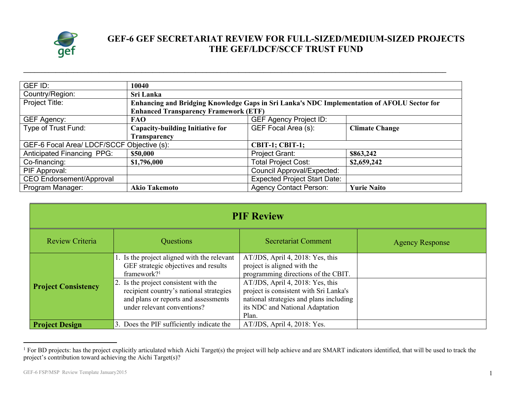

## **GEF-6 GEF SECRETARIAT REVIEW FOR FULL-SIZED/MEDIUM-SIZED PROJECTS THE GEF/LDCF/SCCF TRUST FUND**

| GEF ID:                                                              | 10040                                                                                       |                                   |                       |  |  |  |  |
|----------------------------------------------------------------------|---------------------------------------------------------------------------------------------|-----------------------------------|-----------------------|--|--|--|--|
| Country/Region:                                                      | Sri Lanka                                                                                   |                                   |                       |  |  |  |  |
| Project Title:                                                       | Enhancing and Bridging Knowledge Gaps in Sri Lanka's NDC Implementation of AFOLU Sector for |                                   |                       |  |  |  |  |
|                                                                      | <b>Enhanced Transparency Framework (ETF)</b>                                                |                                   |                       |  |  |  |  |
| GEF Agency:                                                          | <b>FAO</b>                                                                                  | <b>GEF Agency Project ID:</b>     |                       |  |  |  |  |
| Type of Trust Fund:                                                  | <b>Capacity-building Initiative for</b>                                                     | GEF Focal Area (s):               | <b>Climate Change</b> |  |  |  |  |
|                                                                      | <b>Transparency</b>                                                                         |                                   |                       |  |  |  |  |
| GEF-6 Focal Area/ LDCF/SCCF Objective (s):<br><b>CBIT-1; CBIT-1;</b> |                                                                                             |                                   |                       |  |  |  |  |
| <b>Anticipated Financing PPG:</b>                                    | \$50,000                                                                                    | Project Grant:                    | \$863,242             |  |  |  |  |
| Co-financing:                                                        | \$1,796,000                                                                                 | <b>Total Project Cost:</b>        | \$2,659,242           |  |  |  |  |
| PIF Approval:                                                        |                                                                                             | <b>Council Approval/Expected:</b> |                       |  |  |  |  |
| <b>CEO Endorsement/Approval</b>                                      | <b>Expected Project Start Date:</b>                                                         |                                   |                       |  |  |  |  |
| Program Manager:                                                     | <b>Akio Takemoto</b>                                                                        | <b>Agency Contact Person:</b>     | <b>Yurie Naito</b>    |  |  |  |  |

**\_\_\_\_\_\_\_\_\_\_\_\_\_\_\_\_\_\_\_\_\_\_\_\_\_\_\_\_\_\_\_\_\_\_\_\_\_\_\_\_\_\_\_\_\_\_\_\_\_\_\_\_\_\_\_\_\_\_\_\_\_\_\_\_\_\_\_\_\_\_\_\_\_\_\_\_\_\_\_\_\_\_\_\_\_\_\_\_\_\_\_\_\_\_\_\_\_\_\_\_\_\_\_\_\_\_\_\_\_\_\_\_\_\_\_\_\_\_**

| <b>PIF Review</b>          |                                                                                                                                                                                                                                                                           |                                                                                                                                                                                                                                                                             |                        |  |
|----------------------------|---------------------------------------------------------------------------------------------------------------------------------------------------------------------------------------------------------------------------------------------------------------------------|-----------------------------------------------------------------------------------------------------------------------------------------------------------------------------------------------------------------------------------------------------------------------------|------------------------|--|
| Review Criteria            | Questions                                                                                                                                                                                                                                                                 | <b>Secretariat Comment</b>                                                                                                                                                                                                                                                  | <b>Agency Response</b> |  |
| <b>Project Consistency</b> | 1. Is the project aligned with the relevant<br>GEF strategic objectives and results<br>framework? <sup>1</sup><br>2. Is the project consistent with the<br>recipient country's national strategies<br>and plans or reports and assessments<br>under relevant conventions? | AT/JDS, April 4, 2018: Yes, this<br>project is aligned with the<br>programming directions of the CBIT.<br>AT/JDS, April 4, 2018: Yes, this<br>project is consistent with Sri Lanka's<br>national strategies and plans including<br>its NDC and National Adaptation<br>Plan. |                        |  |
| <b>Project Design</b>      | 3. Does the PIF sufficiently indicate the                                                                                                                                                                                                                                 | AT/JDS, April 4, 2018: Yes.                                                                                                                                                                                                                                                 |                        |  |

<sup>&</sup>lt;sup>1</sup> For BD projects: has the project explicitly articulated which Aichi Target(s) the project will help achieve and are SMART indicators identified, that will be used to track the project's contribution toward achieving the Aichi Target(s)?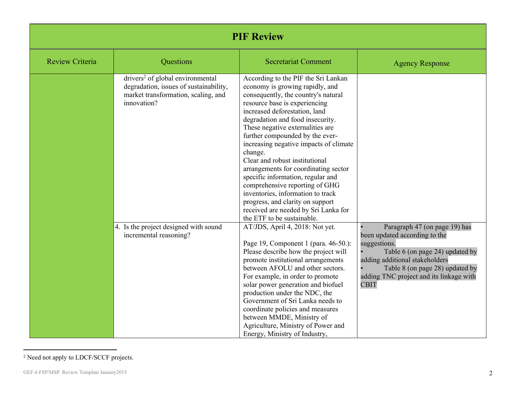| <b>PIF Review</b>      |                                                                                                                                              |                                                                                                                                                                                                                                                                                                                                                                                                                                                                                                                                                                                                                                                 |                                                                                                                                                                                                                                                  |  |
|------------------------|----------------------------------------------------------------------------------------------------------------------------------------------|-------------------------------------------------------------------------------------------------------------------------------------------------------------------------------------------------------------------------------------------------------------------------------------------------------------------------------------------------------------------------------------------------------------------------------------------------------------------------------------------------------------------------------------------------------------------------------------------------------------------------------------------------|--------------------------------------------------------------------------------------------------------------------------------------------------------------------------------------------------------------------------------------------------|--|
| <b>Review Criteria</b> | Questions                                                                                                                                    | <b>Secretariat Comment</b>                                                                                                                                                                                                                                                                                                                                                                                                                                                                                                                                                                                                                      | <b>Agency Response</b>                                                                                                                                                                                                                           |  |
|                        | drivers <sup>2</sup> of global environmental<br>degradation, issues of sustainability,<br>market transformation, scaling, and<br>innovation? | According to the PIF the Sri Lankan<br>economy is growing rapidly, and<br>consequently, the country's natural<br>resource base is experiencing<br>increased deforestation, land<br>degradation and food insecurity.<br>These negative externalities are<br>further compounded by the ever-<br>increasing negative impacts of climate<br>change.<br>Clear and robust institutional<br>arrangements for coordinating sector<br>specific information, regular and<br>comprehensive reporting of GHG<br>inventories, information to track<br>progress, and clarity on support<br>received are needed by Sri Lanka for<br>the ETF to be sustainable. |                                                                                                                                                                                                                                                  |  |
|                        | 4. Is the project designed with sound<br>incremental reasoning?                                                                              | AT/JDS, April 4, 2018: Not yet.<br>Page 19, Component 1 (para. 46-50.):<br>Please describe how the project will<br>promote institutional arrangements<br>between AFOLU and other sectors.<br>For example, in order to promote<br>solar power generation and biofuel<br>production under the NDC, the<br>Government of Sri Lanka needs to<br>coordinate policies and measures<br>between MMDE, Ministry of<br>Agriculture, Ministry of Power and<br>Energy, Ministry of Industry,                                                                                                                                                                | Paragraph 47 (on page 19) has<br>been updated according to the<br>suggestions.<br>Table 6 (on page 24) updated by<br>adding additional stakeholders<br>Table 8 (on page 28) updated by<br>adding TNC project and its linkage with<br><b>CBIT</b> |  |

<sup>2</sup> Need not apply to LDCF/SCCF projects.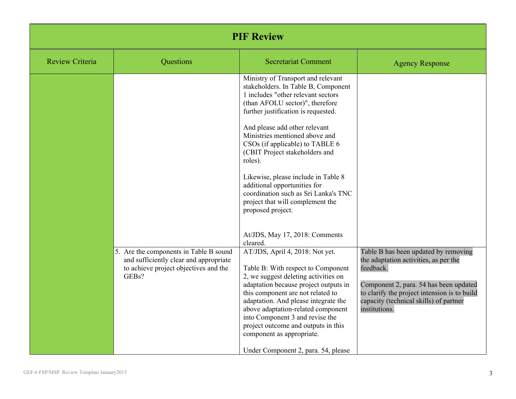| <b>PIF Review</b>      |                                                                                                                                    |                                                                                                                                                                                                                                                                                                                                                                                                                                                                                                                                                                                                                                                                                                                                                                                                                                                                                                                                                                                                |                                                                                                                                                                                                                                                 |  |
|------------------------|------------------------------------------------------------------------------------------------------------------------------------|------------------------------------------------------------------------------------------------------------------------------------------------------------------------------------------------------------------------------------------------------------------------------------------------------------------------------------------------------------------------------------------------------------------------------------------------------------------------------------------------------------------------------------------------------------------------------------------------------------------------------------------------------------------------------------------------------------------------------------------------------------------------------------------------------------------------------------------------------------------------------------------------------------------------------------------------------------------------------------------------|-------------------------------------------------------------------------------------------------------------------------------------------------------------------------------------------------------------------------------------------------|--|
| <b>Review Criteria</b> | Questions                                                                                                                          | <b>Secretariat Comment</b>                                                                                                                                                                                                                                                                                                                                                                                                                                                                                                                                                                                                                                                                                                                                                                                                                                                                                                                                                                     | <b>Agency Response</b>                                                                                                                                                                                                                          |  |
|                        | 5. Are the components in Table B sound<br>and sufficiently clear and appropriate<br>to achieve project objectives and the<br>GEBs? | Ministry of Transport and relevant<br>stakeholders. In Table B, Component<br>1 includes "other relevant sectors"<br>(than AFOLU sector)", therefore<br>further justification is requested.<br>And please add other relevant<br>Ministries mentioned above and<br>CSOs (if applicable) to TABLE 6<br>(CBIT Project stakeholders and<br>roles).<br>Likewise, please include in Table 8<br>additional opportunities for<br>coordination such as Sri Lanka's TNC<br>project that will complement the<br>proposed project.<br>At/JDS, May 17, 2018: Comments<br>cleared.<br>AT/JDS, April 4, 2018: Not yet.<br>Table B: With respect to Component<br>2, we suggest deleting activities on<br>adaptation because project outputs in<br>this component are not related to<br>adaptation. And please integrate the<br>above adaptation-related component<br>into Component 3 and revise the<br>project outcome and outputs in this<br>component as appropriate.<br>Under Component 2, para. 54, please | Table B has been updated by removing<br>the adaptation activities, as per the<br>feedback.<br>Component 2, para. 54 has been updated<br>to clarify the project intension is to build<br>capacity (technical skills) of partner<br>institutions. |  |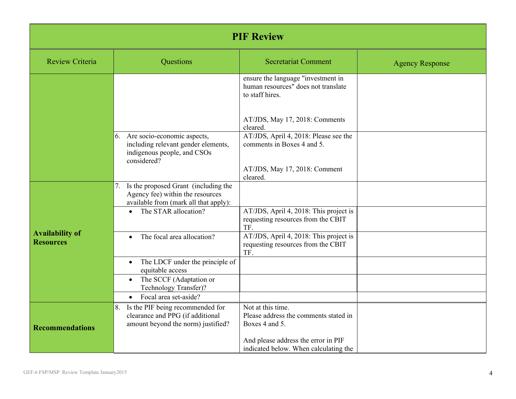| <b>PIF Review</b>                          |                                                                                                                      |                                                                                              |                        |  |
|--------------------------------------------|----------------------------------------------------------------------------------------------------------------------|----------------------------------------------------------------------------------------------|------------------------|--|
| <b>Review Criteria</b>                     | Questions                                                                                                            | <b>Secretariat Comment</b>                                                                   | <b>Agency Response</b> |  |
|                                            |                                                                                                                      | ensure the language "investment in<br>human resources" does not translate<br>to staff hires. |                        |  |
|                                            |                                                                                                                      | AT/JDS, May 17, 2018: Comments<br>cleared.                                                   |                        |  |
|                                            | 6. Are socio-economic aspects,<br>including relevant gender elements,<br>indigenous people, and CSOs<br>considered?  | AT/JDS, April 4, 2018: Please see the<br>comments in Boxes 4 and 5.                          |                        |  |
|                                            |                                                                                                                      | AT/JDS, May 17, 2018: Comment<br>cleared.                                                    |                        |  |
|                                            | 7. Is the proposed Grant (including the<br>Agency fee) within the resources<br>available from (mark all that apply): |                                                                                              |                        |  |
|                                            | The STAR allocation?                                                                                                 | AT/JDS, April 4, 2018: This project is<br>requesting resources from the CBIT<br>TF.          |                        |  |
| <b>Availability of</b><br><b>Resources</b> | The focal area allocation?<br>$\bullet$                                                                              | AT/JDS, April 4, 2018: This project is<br>requesting resources from the CBIT<br>TF.          |                        |  |
|                                            | The LDCF under the principle of<br>$\bullet$<br>equitable access                                                     |                                                                                              |                        |  |
|                                            | The SCCF (Adaptation or<br>$\bullet$<br>Technology Transfer)?                                                        |                                                                                              |                        |  |
|                                            | Focal area set-aside?<br>$\bullet$                                                                                   |                                                                                              |                        |  |
| <b>Recommendations</b>                     | Is the PIF being recommended for<br>8.<br>clearance and PPG (if additional<br>amount beyond the norm) justified?     | Not at this time.<br>Please address the comments stated in<br>Boxes 4 and 5.                 |                        |  |
|                                            |                                                                                                                      | And please address the error in PIF<br>indicated below. When calculating the                 |                        |  |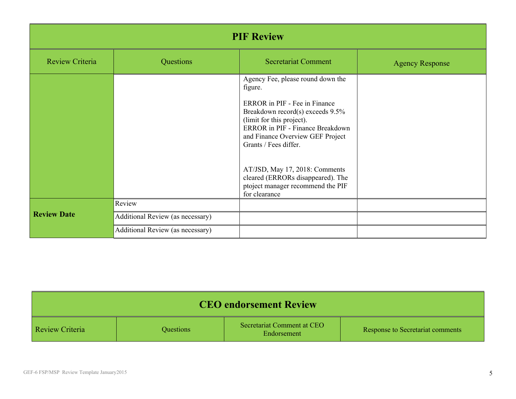| <b>PIF Review</b>      |                                  |                                                                                                                                                                                                                                                        |                        |  |
|------------------------|----------------------------------|--------------------------------------------------------------------------------------------------------------------------------------------------------------------------------------------------------------------------------------------------------|------------------------|--|
| <b>Review Criteria</b> | Questions                        | <b>Secretariat Comment</b>                                                                                                                                                                                                                             | <b>Agency Response</b> |  |
|                        |                                  | Agency Fee, please round down the<br>figure.<br>ERROR in PIF - Fee in Finance<br>Breakdown record(s) exceeds 9.5%<br>(limit for this project).<br><b>ERROR</b> in PIF - Finance Breakdown<br>and Finance Overview GEF Project<br>Grants / Fees differ. |                        |  |
|                        |                                  | AT/JSD, May 17, 2018: Comments<br>cleared (ERRORs disappeared). The<br>ptoject manager recommend the PIF<br>for clearance                                                                                                                              |                        |  |
|                        | Review                           |                                                                                                                                                                                                                                                        |                        |  |
| <b>Review Date</b>     | Additional Review (as necessary) |                                                                                                                                                                                                                                                        |                        |  |
|                        | Additional Review (as necessary) |                                                                                                                                                                                                                                                        |                        |  |

| <b>CEO</b> endorsement Review |           |                                           |                                  |  |
|-------------------------------|-----------|-------------------------------------------|----------------------------------|--|
| <b>Review Criteria</b>        | Questions | Secretariat Comment at CEO<br>Endorsement | Response to Secretariat comments |  |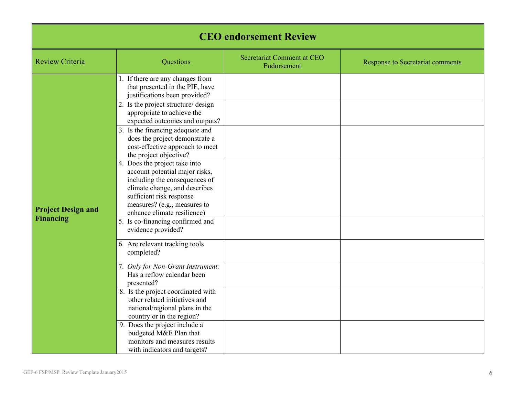| <b>CEO</b> endorsement Review                 |                                                                                                                                                                                                                                                                                                                                                                                                                                                                                                                                                                                                                                                                                                                                                                                                                                                                                                                                                  |                                           |                                         |  |
|-----------------------------------------------|--------------------------------------------------------------------------------------------------------------------------------------------------------------------------------------------------------------------------------------------------------------------------------------------------------------------------------------------------------------------------------------------------------------------------------------------------------------------------------------------------------------------------------------------------------------------------------------------------------------------------------------------------------------------------------------------------------------------------------------------------------------------------------------------------------------------------------------------------------------------------------------------------------------------------------------------------|-------------------------------------------|-----------------------------------------|--|
| <b>Review Criteria</b>                        | Questions                                                                                                                                                                                                                                                                                                                                                                                                                                                                                                                                                                                                                                                                                                                                                                                                                                                                                                                                        | Secretariat Comment at CEO<br>Endorsement | <b>Response to Secretariat comments</b> |  |
| <b>Project Design and</b><br><b>Financing</b> | 1. If there are any changes from<br>that presented in the PIF, have<br>justifications been provided?<br>2. Is the project structure/ design<br>appropriate to achieve the<br>expected outcomes and outputs?<br>3. Is the financing adequate and<br>does the project demonstrate a<br>cost-effective approach to meet<br>the project objective?<br>4. Does the project take into<br>account potential major risks,<br>including the consequences of<br>climate change, and describes<br>sufficient risk response<br>measures? (e.g., measures to<br>enhance climate resilience)<br>5. Is co-financing confirmed and<br>evidence provided?<br>6. Are relevant tracking tools<br>completed?<br>7. Only for Non-Grant Instrument:<br>Has a reflow calendar been<br>presented?<br>8. Is the project coordinated with<br>other related initiatives and<br>national/regional plans in the<br>country or in the region?<br>9. Does the project include a |                                           |                                         |  |
|                                               | budgeted M&E Plan that<br>monitors and measures results<br>with indicators and targets?                                                                                                                                                                                                                                                                                                                                                                                                                                                                                                                                                                                                                                                                                                                                                                                                                                                          |                                           |                                         |  |